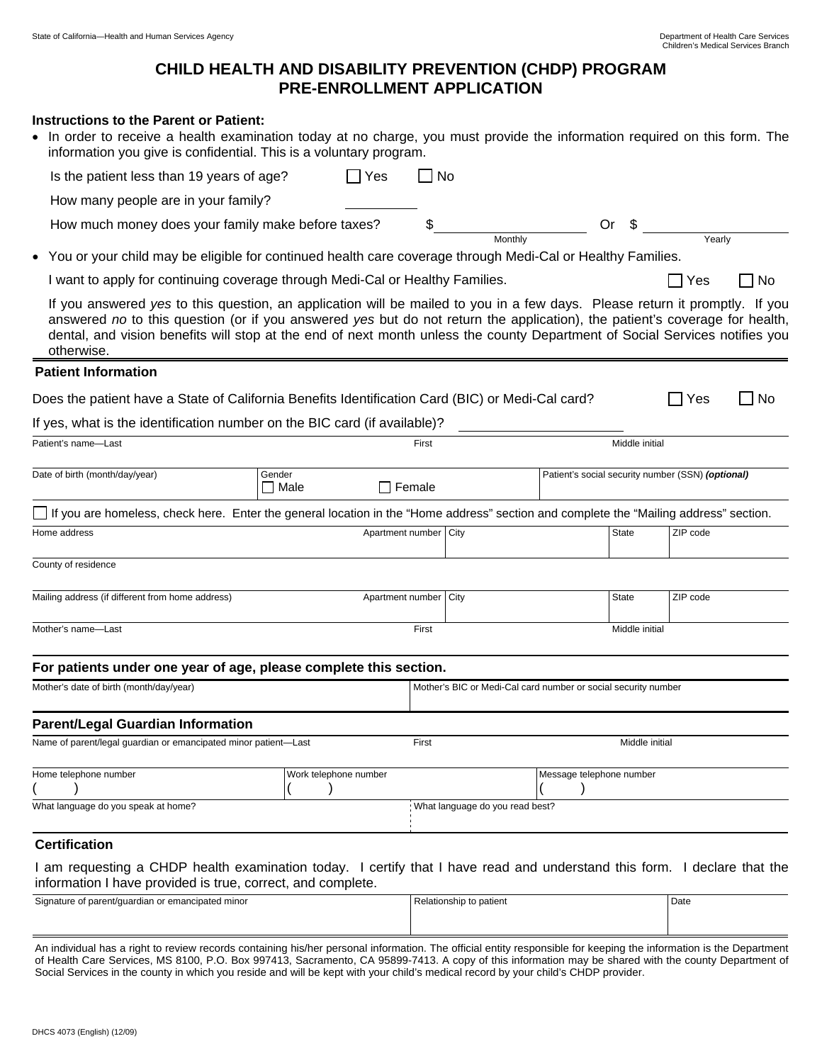## **CHILD HEALTH AND DISABILITY PREVENTION (CHDP) PROGRAM PRE-ENROLLMENT APPLICATION**

#### **Instructions to the Parent or Patient:**

• In order to receive a health examination today at no charge, you must provide the information required on this form. The information you give is confidential. This is a voluntary program.

|                                         | Is the patient less than 19 years of age?                                                                                                                                                                                                                                                                                                                                                               |                       | Yes                             | No     |                                                                |                                                   |                |          |     |
|-----------------------------------------|---------------------------------------------------------------------------------------------------------------------------------------------------------------------------------------------------------------------------------------------------------------------------------------------------------------------------------------------------------------------------------------------------------|-----------------------|---------------------------------|--------|----------------------------------------------------------------|---------------------------------------------------|----------------|----------|-----|
|                                         | How many people are in your family?                                                                                                                                                                                                                                                                                                                                                                     |                       |                                 |        |                                                                |                                                   |                |          |     |
|                                         | How much money does your family make before taxes?                                                                                                                                                                                                                                                                                                                                                      |                       |                                 |        | Monthly                                                        |                                                   | 0r             | Yearly   |     |
|                                         | • You or your child may be eligible for continued health care coverage through Medi-Cal or Healthy Families.                                                                                                                                                                                                                                                                                            |                       |                                 |        |                                                                |                                                   |                |          |     |
|                                         | I want to apply for continuing coverage through Medi-Cal or Healthy Families.                                                                                                                                                                                                                                                                                                                           |                       |                                 |        |                                                                |                                                   |                | Yes      | No  |
|                                         | If you answered yes to this question, an application will be mailed to you in a few days. Please return it promptly. If you<br>answered no to this question (or if you answered yes but do not return the application), the patient's coverage for health,<br>dental, and vision benefits will stop at the end of next month unless the county Department of Social Services notifies you<br>otherwise. |                       |                                 |        |                                                                |                                                   |                |          |     |
|                                         | <b>Patient Information</b>                                                                                                                                                                                                                                                                                                                                                                              |                       |                                 |        |                                                                |                                                   |                |          |     |
|                                         | Does the patient have a State of California Benefits Identification Card (BIC) or Medi-Cal card?                                                                                                                                                                                                                                                                                                        |                       |                                 |        |                                                                |                                                   |                | Yes      | No. |
|                                         | If yes, what is the identification number on the BIC card (if available)?                                                                                                                                                                                                                                                                                                                               |                       |                                 |        |                                                                |                                                   |                |          |     |
|                                         | Patient's name-Last                                                                                                                                                                                                                                                                                                                                                                                     |                       |                                 | First  |                                                                |                                                   | Middle initial |          |     |
|                                         | Date of birth (month/day/year)                                                                                                                                                                                                                                                                                                                                                                          | Gender<br>  Male      |                                 | Female |                                                                | Patient's social security number (SSN) (optional) |                |          |     |
|                                         | If you are homeless, check here. Enter the general location in the "Home address" section and complete the "Mailing address" section.                                                                                                                                                                                                                                                                   |                       |                                 |        |                                                                |                                                   |                |          |     |
|                                         | Home address                                                                                                                                                                                                                                                                                                                                                                                            |                       | Apartment number City           |        |                                                                |                                                   | State          | ZIP code |     |
|                                         | County of residence                                                                                                                                                                                                                                                                                                                                                                                     |                       |                                 |        |                                                                |                                                   |                |          |     |
|                                         | Mailing address (if different from home address)                                                                                                                                                                                                                                                                                                                                                        |                       | Apartment number   City         |        |                                                                |                                                   | <b>State</b>   | ZIP code |     |
|                                         | Mother's name-Last                                                                                                                                                                                                                                                                                                                                                                                      |                       |                                 | First  |                                                                |                                                   | Middle initial |          |     |
|                                         | For patients under one year of age, please complete this section.                                                                                                                                                                                                                                                                                                                                       |                       |                                 |        |                                                                |                                                   |                |          |     |
| Mother's date of birth (month/day/year) |                                                                                                                                                                                                                                                                                                                                                                                                         |                       |                                 |        | Mother's BIC or Medi-Cal card number or social security number |                                                   |                |          |     |
|                                         | <b>Parent/Legal Guardian Information</b>                                                                                                                                                                                                                                                                                                                                                                |                       |                                 |        |                                                                |                                                   |                |          |     |
|                                         | Name of parent/legal guardian or emancipated minor patient-Last                                                                                                                                                                                                                                                                                                                                         |                       |                                 | First  |                                                                |                                                   | Middle initial |          |     |
|                                         | Home telephone number                                                                                                                                                                                                                                                                                                                                                                                   | Work telephone number |                                 |        |                                                                | Message telephone number                          |                |          |     |
| What language do you speak at home?     |                                                                                                                                                                                                                                                                                                                                                                                                         |                       | What language do you read best? |        |                                                                |                                                   |                |          |     |
|                                         | <b>Certification</b>                                                                                                                                                                                                                                                                                                                                                                                    |                       |                                 |        |                                                                |                                                   |                |          |     |
|                                         |                                                                                                                                                                                                                                                                                                                                                                                                         |                       |                                 |        |                                                                |                                                   |                |          |     |

I am requesting a CHDP health examination today. I certify that I have read and understand this form. I declare that the information I have provided is true, correct, and complete.

| Signature of parent/guardian or emancipated minor | Relationship to patient | Date |  |
|---------------------------------------------------|-------------------------|------|--|
|                                                   |                         |      |  |
|                                                   |                         |      |  |

An individual has a right to review records containing his/her personal information. The official entity responsible for keeping the information is the Department of Health Care Services, MS 8100, P.O. Box 997413, Sacramento, CA 95899-7413. A copy of this information may be shared with the county Department of Social Services in the county in which you reside and will be kept with your child's medical record by your child's CHDP provider.